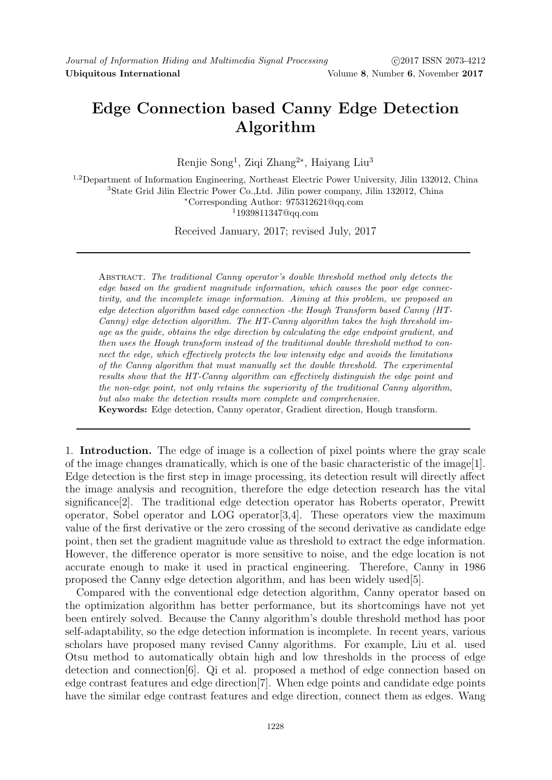## Edge Connection based Canny Edge Detection Algorithm

Renjie Song<sup>1</sup>, Ziqi Zhang<sup>2∗</sup>, Haiyang Liu<sup>3</sup>

,2Department of Information Engineering, Northeast Electric Power University, Jilin 132012, China State Grid Jilin Electric Power Co.,Ltd. Jilin power company, Jilin 132012, China <sup>∗</sup>Corresponding Author: 975312621@qq.com 1939811347@qq.com

Received January, 2017; revised July, 2017

Abstract. The traditional Canny operator's double threshold method only detects the edge based on the gradient magnitude information, which causes the poor edge connectivity, and the incomplete image information. Aiming at this problem, we proposed an edge detection algorithm based edge connection -the Hough Transform based Canny (HT-Canny) edge detection algorithm. The HT-Canny algorithm takes the high threshold image as the guide, obtains the edge direction by calculating the edge endpoint gradient, and then uses the Hough transform instead of the traditional double threshold method to connect the edge, which effectively protects the low intensity edge and avoids the limitations of the Canny algorithm that must manually set the double threshold. The experimental results show that the HT-Canny algorithm can effectively distinguish the edge point and the non-edge point, not only retains the superiority of the traditional Canny algorithm, but also make the detection results more complete and comprehensive.

Keywords: Edge detection, Canny operator, Gradient direction, Hough transform.

1. Introduction. The edge of image is a collection of pixel points where the gray scale of the image changes dramatically, which is one of the basic characteristic of the image[1]. Edge detection is the first step in image processing, its detection result will directly affect the image analysis and recognition, therefore the edge detection research has the vital significance[2]. The traditional edge detection operator has Roberts operator, Prewitt operator, Sobel operator and LOG operator[3,4]. These operators view the maximum value of the first derivative or the zero crossing of the second derivative as candidate edge point, then set the gradient magnitude value as threshold to extract the edge information. However, the difference operator is more sensitive to noise, and the edge location is not accurate enough to make it used in practical engineering. Therefore, Canny in 1986 proposed the Canny edge detection algorithm, and has been widely used[5].

Compared with the conventional edge detection algorithm, Canny operator based on the optimization algorithm has better performance, but its shortcomings have not yet been entirely solved. Because the Canny algorithm's double threshold method has poor self-adaptability, so the edge detection information is incomplete. In recent years, various scholars have proposed many revised Canny algorithms. For example, Liu et al. used Otsu method to automatically obtain high and low thresholds in the process of edge detection and connection[6]. Qi et al. proposed a method of edge connection based on edge contrast features and edge direction[7]. When edge points and candidate edge points have the similar edge contrast features and edge direction, connect them as edges. Wang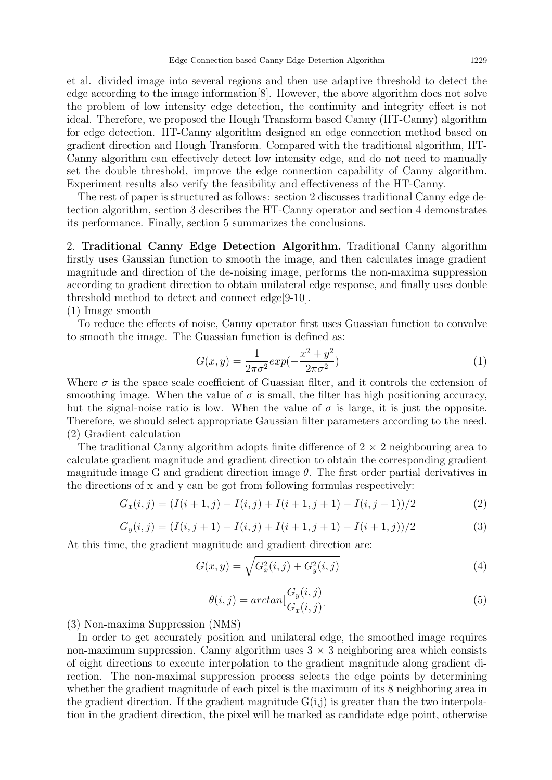et al. divided image into several regions and then use adaptive threshold to detect the edge according to the image information[8]. However, the above algorithm does not solve the problem of low intensity edge detection, the continuity and integrity effect is not ideal. Therefore, we proposed the Hough Transform based Canny (HT-Canny) algorithm for edge detection. HT-Canny algorithm designed an edge connection method based on gradient direction and Hough Transform. Compared with the traditional algorithm, HT-Canny algorithm can effectively detect low intensity edge, and do not need to manually set the double threshold, improve the edge connection capability of Canny algorithm. Experiment results also verify the feasibility and effectiveness of the HT-Canny.

The rest of paper is structured as follows: section 2 discusses traditional Canny edge detection algorithm, section 3 describes the HT-Canny operator and section 4 demonstrates its performance. Finally, section 5 summarizes the conclusions.

2. Traditional Canny Edge Detection Algorithm. Traditional Canny algorithm firstly uses Gaussian function to smooth the image, and then calculates image gradient magnitude and direction of the de-noising image, performs the non-maxima suppression according to gradient direction to obtain unilateral edge response, and finally uses double threshold method to detect and connect edge[9-10].

## (1) Image smooth

To reduce the effects of noise, Canny operator first uses Guassian function to convolve to smooth the image. The Guassian function is defined as:

$$
G(x,y) = \frac{1}{2\pi\sigma^2} exp(-\frac{x^2 + y^2}{2\pi\sigma^2})
$$
\n(1)

Where  $\sigma$  is the space scale coefficient of Guassian filter, and it controls the extension of smoothing image. When the value of  $\sigma$  is small, the filter has high positioning accuracy, but the signal-noise ratio is low. When the value of  $\sigma$  is large, it is just the opposite. Therefore, we should select appropriate Gaussian filter parameters according to the need. (2) Gradient calculation

The traditional Canny algorithm adopts finite difference of  $2 \times 2$  neighbouring area to calculate gradient magnitude and gradient direction to obtain the corresponding gradient magnitude image G and gradient direction image  $\theta$ . The first order partial derivatives in the directions of x and y can be got from following formulas respectively:

$$
G_x(i,j) = (I(i+1,j) - I(i,j) + I(i+1,j+1) - I(i,j+1))/2
$$
\n(2)

$$
G_y(i,j) = (I(i,j+1) - I(i,j) + I(i+1,j+1) - I(i+1,j))/2
$$
\n(3)

At this time, the gradient magnitude and gradient direction are:

$$
G(x,y) = \sqrt{G_x^2(i,j) + G_y^2(i,j)}
$$
\n(4)

$$
\theta(i,j) = \arctan[\frac{G_y(i,j)}{G_x(i,j)}]
$$
\n<sup>(5)</sup>

(3) Non-maxima Suppression (NMS)

In order to get accurately position and unilateral edge, the smoothed image requires non-maximum suppression. Canny algorithm uses  $3 \times 3$  neighboring area which consists of eight directions to execute interpolation to the gradient magnitude along gradient direction. The non-maximal suppression process selects the edge points by determining whether the gradient magnitude of each pixel is the maximum of its 8 neighboring area in the gradient direction. If the gradient magnitude  $G(i,j)$  is greater than the two interpolation in the gradient direction, the pixel will be marked as candidate edge point, otherwise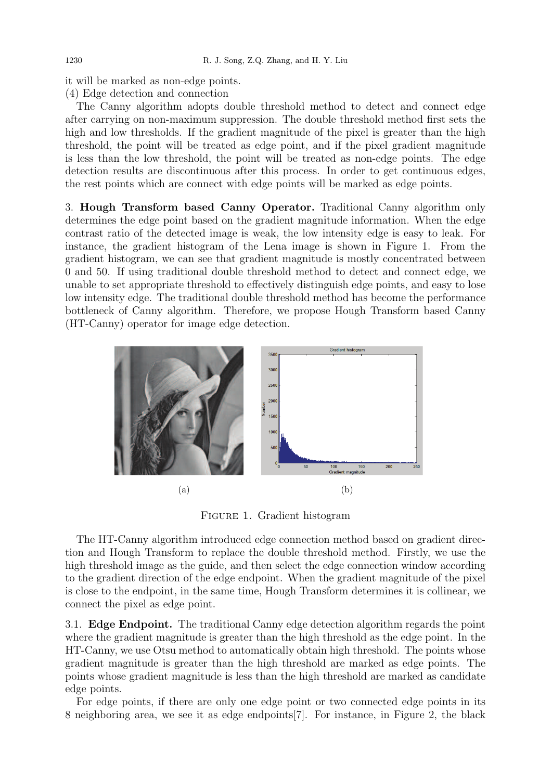it will be marked as non-edge points. (4) Edge detection and connection

The Canny algorithm adopts double threshold method to detect and connect edge after carrying on non-maximum suppression. The double threshold method first sets the high and low thresholds. If the gradient magnitude of the pixel is greater than the high threshold, the point will be treated as edge point, and if the pixel gradient magnitude is less than the low threshold, the point will be treated as non-edge points. The edge detection results are discontinuous after this process. In order to get continuous edges, the rest points which are connect with edge points will be marked as edge points.

3. Hough Transform based Canny Operator. Traditional Canny algorithm only determines the edge point based on the gradient magnitude information. When the edge contrast ratio of the detected image is weak, the low intensity edge is easy to leak. For instance, the gradient histogram of the Lena image is shown in Figure 1. From the gradient histogram, we can see that gradient magnitude is mostly concentrated between 0 and 50. If using traditional double threshold method to detect and connect edge, we unable to set appropriate threshold to effectively distinguish edge points, and easy to lose low intensity edge. The traditional double threshold method has become the performance bottleneck of Canny algorithm. Therefore, we propose Hough Transform based Canny (HT-Canny) operator for image edge detection.



Figure 1. Gradient histogram

The HT-Canny algorithm introduced edge connection method based on gradient direction and Hough Transform to replace the double threshold method. Firstly, we use the high threshold image as the guide, and then select the edge connection window according to the gradient direction of the edge endpoint. When the gradient magnitude of the pixel is close to the endpoint, in the same time, Hough Transform determines it is collinear, we connect the pixel as edge point.

3.1. Edge Endpoint. The traditional Canny edge detection algorithm regards the point where the gradient magnitude is greater than the high threshold as the edge point. In the HT-Canny, we use Otsu method to automatically obtain high threshold. The points whose gradient magnitude is greater than the high threshold are marked as edge points. The points whose gradient magnitude is less than the high threshold are marked as candidate edge points.

For edge points, if there are only one edge point or two connected edge points in its 8 neighboring area, we see it as edge endpoints[7]. For instance, in Figure 2, the black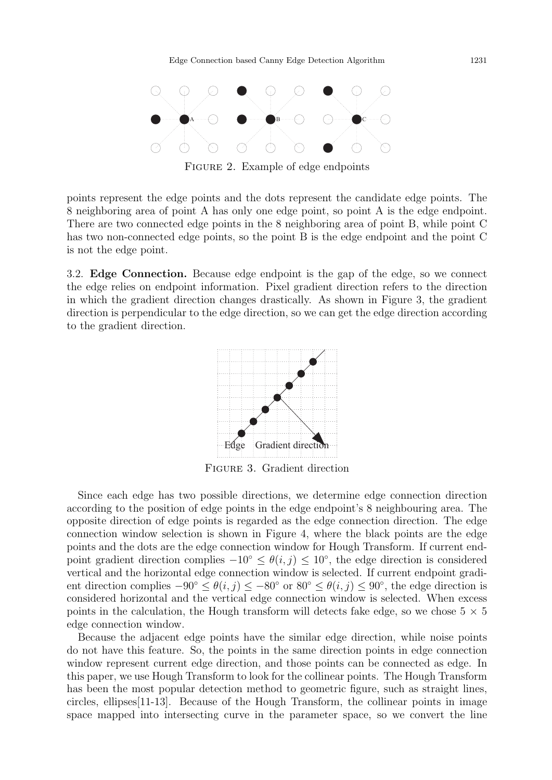

FIGURE 2. Example of edge endpoints

points represent the edge points and the dots represent the candidate edge points. The 8 neighboring area of point A has only one edge point, so point A is the edge endpoint. There are two connected edge points in the 8 neighboring area of point B, while point C has two non-connected edge points, so the point B is the edge endpoint and the point C is not the edge point.

3.2. Edge Connection. Because edge endpoint is the gap of the edge, so we connect the edge relies on endpoint information. Pixel gradient direction refers to the direction in which the gradient direction changes drastically. As shown in Figure 3, the gradient direction is perpendicular to the edge direction, so we can get the edge direction according to the gradient direction.



Figure 3. Gradient direction

Since each edge has two possible directions, we determine edge connection direction according to the position of edge points in the edge endpoint's 8 neighbouring area. The opposite direction of edge points is regarded as the edge connection direction. The edge connection window selection is shown in Figure 4, where the black points are the edge points and the dots are the edge connection window for Hough Transform. If current endpoint gradient direction complies  $-10^{\circ} \leq \theta(i,j) \leq 10^{\circ}$ , the edge direction is considered vertical and the horizontal edge connection window is selected. If current endpoint gradient direction complies  $-90° \le \theta(i,j) \le -80°$  or  $80° \le \theta(i,j) \le 90°$ , the edge direction is considered horizontal and the vertical edge connection window is selected. When excess points in the calculation, the Hough transform will detects fake edge, so we chose  $5 \times 5$ edge connection window.

Because the adjacent edge points have the similar edge direction, while noise points do not have this feature. So, the points in the same direction points in edge connection window represent current edge direction, and those points can be connected as edge. In this paper, we use Hough Transform to look for the collinear points. The Hough Transform has been the most popular detection method to geometric figure, such as straight lines, circles, ellipses[11-13]. Because of the Hough Transform, the collinear points in image space mapped into intersecting curve in the parameter space, so we convert the line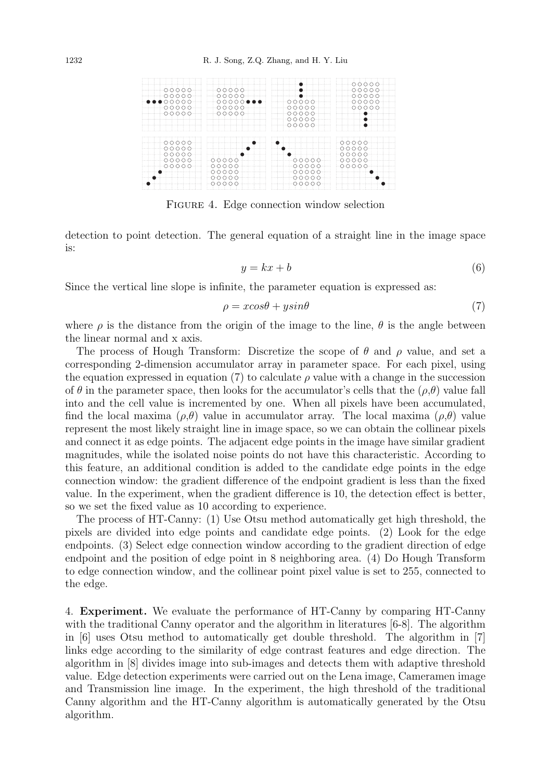

FIGURE 4. Edge connection window selection

detection to point detection. The general equation of a straight line in the image space is:

$$
y = kx + b \tag{6}
$$

Since the vertical line slope is infinite, the parameter equation is expressed as:

$$
\rho = x \cos \theta + y \sin \theta \tag{7}
$$

where  $\rho$  is the distance from the origin of the image to the line,  $\theta$  is the angle between the linear normal and x axis.

The process of Hough Transform: Discretize the scope of  $\theta$  and  $\rho$  value, and set a corresponding 2-dimension accumulator array in parameter space. For each pixel, using the equation expressed in equation (7) to calculate  $\rho$  value with a change in the succession of  $\theta$  in the parameter space, then looks for the accumulator's cells that the  $(\rho,\theta)$  value fall into and the cell value is incremented by one. When all pixels have been accumulated, find the local maxima  $(\rho,\theta)$  value in accumulator array. The local maxima  $(\rho,\theta)$  value represent the most likely straight line in image space, so we can obtain the collinear pixels and connect it as edge points. The adjacent edge points in the image have similar gradient magnitudes, while the isolated noise points do not have this characteristic. According to this feature, an additional condition is added to the candidate edge points in the edge connection window: the gradient difference of the endpoint gradient is less than the fixed value. In the experiment, when the gradient difference is 10, the detection effect is better, so we set the fixed value as 10 according to experience.

The process of HT-Canny: (1) Use Otsu method automatically get high threshold, the pixels are divided into edge points and candidate edge points. (2) Look for the edge endpoints. (3) Select edge connection window according to the gradient direction of edge endpoint and the position of edge point in 8 neighboring area. (4) Do Hough Transform to edge connection window, and the collinear point pixel value is set to 255, connected to the edge.

4. Experiment. We evaluate the performance of HT-Canny by comparing HT-Canny with the traditional Canny operator and the algorithm in literatures [6-8]. The algorithm in [6] uses Otsu method to automatically get double threshold. The algorithm in [7] links edge according to the similarity of edge contrast features and edge direction. The algorithm in [8] divides image into sub-images and detects them with adaptive threshold value. Edge detection experiments were carried out on the Lena image, Cameramen image and Transmission line image. In the experiment, the high threshold of the traditional Canny algorithm and the HT-Canny algorithm is automatically generated by the Otsu algorithm.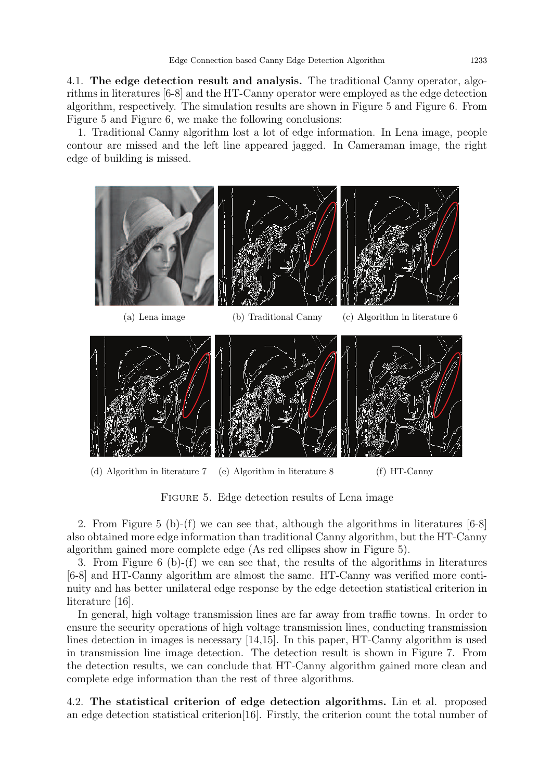4.1. The edge detection result and analysis. The traditional Canny operator, algorithms in literatures [6-8] and the HT-Canny operator were employed as the edge detection algorithm, respectively. The simulation results are shown in Figure 5 and Figure 6. From Figure 5 and Figure 6, we make the following conclusions:

1. Traditional Canny algorithm lost a lot of edge information. In Lena image, people contour are missed and the left line appeared jagged. In Cameraman image, the right edge of building is missed.



FIGURE 5. Edge detection results of Lena image

2. From Figure 5 (b)-(f) we can see that, although the algorithms in literatures [6-8] also obtained more edge information than traditional Canny algorithm, but the HT-Canny algorithm gained more complete edge (As red ellipses show in Figure 5).

3. From Figure 6 (b)-(f) we can see that, the results of the algorithms in literatures [6-8] and HT-Canny algorithm are almost the same. HT-Canny was verified more continuity and has better unilateral edge response by the edge detection statistical criterion in literature [16].

In general, high voltage transmission lines are far away from traffic towns. In order to ensure the security operations of high voltage transmission lines, conducting transmission lines detection in images is necessary [14,15]. In this paper, HT-Canny algorithm is used in transmission line image detection. The detection result is shown in Figure 7. From the detection results, we can conclude that HT-Canny algorithm gained more clean and complete edge information than the rest of three algorithms.

4.2. The statistical criterion of edge detection algorithms. Lin et al. proposed an edge detection statistical criterion[16]. Firstly, the criterion count the total number of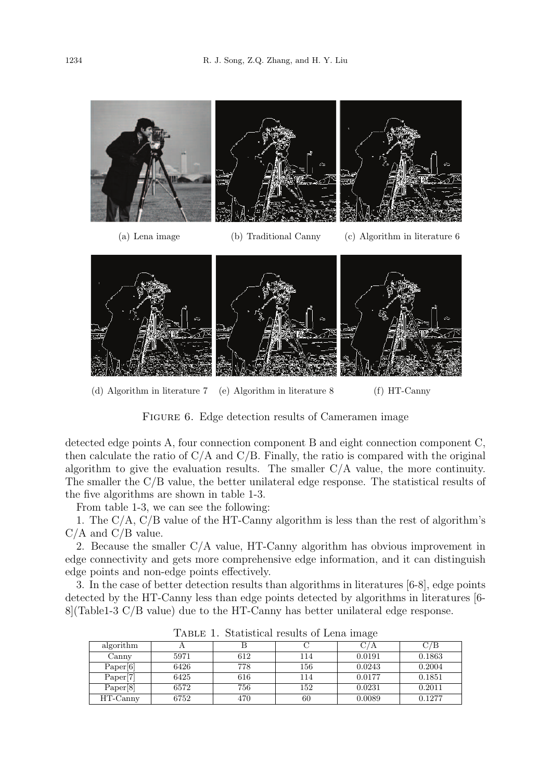

(d) Algorithm in literature 7 (e) Algorithm in literature 8 (f) HT-Canny

FIGURE 6. Edge detection results of Cameramen image

detected edge points A, four connection component B and eight connection component C, then calculate the ratio of  $C/A$  and  $C/B$ . Finally, the ratio is compared with the original algorithm to give the evaluation results. The smaller C/A value, the more continuity. The smaller the C/B value, the better unilateral edge response. The statistical results of the five algorithms are shown in table 1-3.

From table 1-3, we can see the following:

1. The C/A, C/B value of the HT-Canny algorithm is less than the rest of algorithm's  $C/A$  and  $C/B$  value.

2. Because the smaller C/A value, HT-Canny algorithm has obvious improvement in edge connectivity and gets more comprehensive edge information, and it can distinguish edge points and non-edge points effectively.

3. In the case of better detection results than algorithms in literatures [6-8], edge points detected by the HT-Canny less than edge points detected by algorithms in literatures [6- 8](Table1-3 C/B value) due to the HT-Canny has better unilateral edge response.

| algorithm |      |     |     |        | C/B    |
|-----------|------|-----|-----|--------|--------|
| Canny     | 5971 | 612 | 114 | 0.0191 | 0.1863 |
| Paper[6]  | 6426 | 778 | 156 | 0.0243 | 0.2004 |
| Paper[7]  | 6425 | 616 | 114 | 0.0177 | 0.1851 |
| Paper[8]  | 6572 | 756 | 152 | 0.0231 | 0.2011 |
| HT-Canny  | 6752 | 470 | 60  | 0.0089 | 0.1277 |

Table 1. Statistical results of Lena image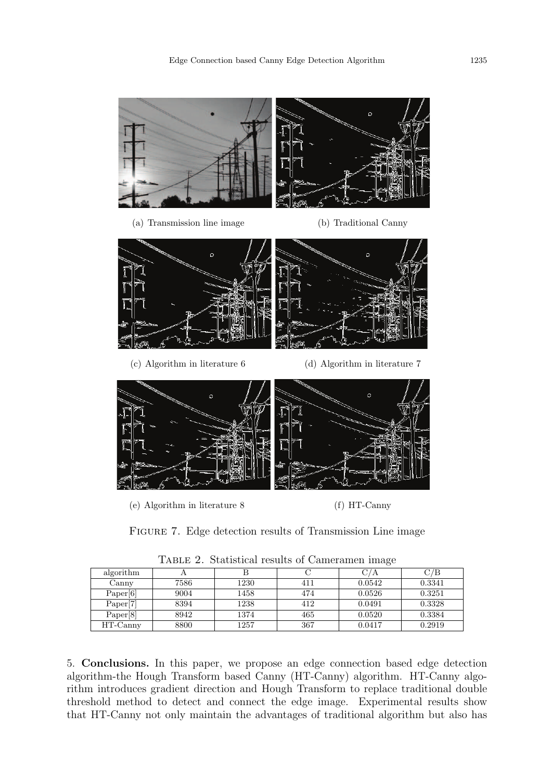

FIGURE 7. Edge detection results of Transmission Line image

|                      |      |      | $\sim$ |        |        |
|----------------------|------|------|--------|--------|--------|
| algorithm            |      |      |        | C/A    | C/B    |
| Canny                | 7586 | 1230 | 411    | 0.0542 | 0.3341 |
| Paper[6]             | 9004 | 1458 | 474    | 0.0526 | 0.3251 |
| Paper <sup>[7]</sup> | 8394 | 1238 | 412    | 0.0491 | 0.3328 |
| Paper <sup>[8]</sup> | 8942 | 1374 | 465    | 0.0520 | 0.3384 |
| HT-Canny             | 8800 | 1257 | 367    | 0.0417 | 0.2919 |

Table 2. Statistical results of Cameramen image

5. Conclusions. In this paper, we propose an edge connection based edge detection algorithm-the Hough Transform based Canny (HT-Canny) algorithm. HT-Canny algorithm introduces gradient direction and Hough Transform to replace traditional double threshold method to detect and connect the edge image. Experimental results show that HT-Canny not only maintain the advantages of traditional algorithm but also has